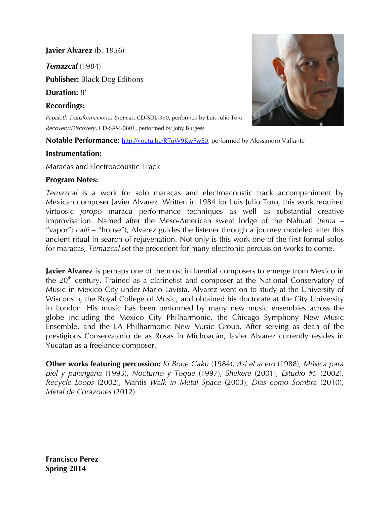**Javier Alvarez** (b. 1956)

*Temazcal* (1984)

**Publisher:** Black Dog Editions

**Duration:** 8'

**Recordings:**

*Papalotl: Transformaciones Exóticas,* CD-SDL-390, performed by Luis Julio Toro *Recovery/Discovery*, CD-SAM-0801, performed by Joby Burgess

**Notable Performance:** http://youtu.be/RTqW9KwFwS0, performed by Alessandro Valiante

## **Instrumentation:**

Maracas and Electroacoustic Track

## **Program Notes:**

*Temazcal* is a work for solo maracas and electroacoustic track accompaniment by Mexican composer Javier Alvarez. Written in 1984 for Luis Julio Toro, this work required virtuosic *joropo* maraca performance techniques as well as substantial creative improvisation. Named after the Meso-American sweat lodge of the Nahuatl (*tema* – "vapor"; *calli* – "house"), Alvarez guides the listener through a journey modeled after this ancient ritual in search of rejuvenation. Not only is this work one of the first formal solos for maracas, *Temazcal* set the precedent for many electronic percussion works to come.

**Javier Alvarez** is perhaps one of the most influential composers to emerge from Mexico in the  $20<sup>th</sup>$  century. Trained as a clarinetist and composer at the National Conservatory of Music in Mexico City under Mario Lavista, Alvarez went on to study at the University of Wisconsin, the Royal College of Music, and obtained his doctorate at the City University in London. His music has been performed by many new music ensembles across the globe including the Mexico City Philharmonic, the Chicago Symphony New Music Ensemble, and the LA Philharmonic New Music Group. After serving as dean of the prestigious Conservatorio de as Rosas in Michoacán, Javier Alvarez currently resides in Yucatan as a freelance composer.

**Other works featuring percussion:** *Ki Bone Gaku* (1984), *Asi el acero* (1988), *Música para piel y palangana* (1993), *Nocturno y Toque* (1997), *Shekere* (2001), *Estudio #5* (2002), *Recycle Loops* (2002), Mantis *Walk in Metal Space* (2003), *Días como Sombra* (2010), *Metal de Corazones* (2012)



**Francisco Perez Spring 2014**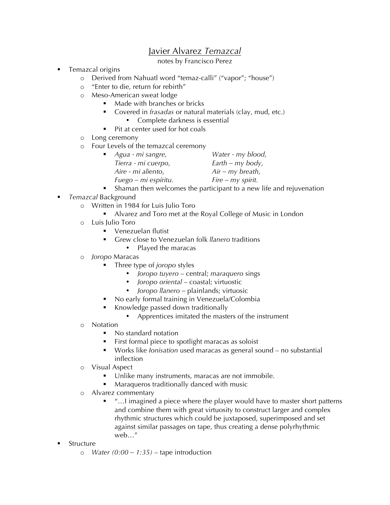## Javier Alvarez *Temazcal*

notes by Francisco Perez

- Temazcal origins
	- o Derived from Nahuatl word "temaz-calli" ("vapor"; "house")
	- o "Enter to die, return for rebirth"
	- o Meso-American sweat lodge
		- Made with branches or bricks
			- ! Covered in *frasadas* or natural materials (clay, mud, etc.)
				- Complete darkness is essential
		- ! Pit at center used for hot coals
	- o Long ceremony
	- o Four Levels of the temazcal ceremony

| $\blacksquare$ Agua - mi sangre, | Water - my blood,   |
|----------------------------------|---------------------|
| Tierra - mi cuerpo,              | $Earth - my body,$  |
| Aire - mi aliento,               | $Air - my breath,$  |
| Fuego - mi espíritu.             | $Fire - my spirit.$ |
|                                  |                     |

- ! Shaman then welcomes the participant to a new life and rejuvenation
- ! *Temazcal* Background
	- o Written in 1984 for Luis Julio Toro
		- ! Alvarez and Toro met at the Royal College of Music in London
	- o Luis Julio Toro
		- ! Venezuelan flutist
		- ! Grew close to Venezuelan folk *llanero* traditions
			- Played the maracas
	- o *Joropo* Maracas
		- ! Three type of *joropo* styles
			- *Joropo tuyero*  central; *maraquero* sings
			- *Joropo oriental*  coastal; virtuostic
			- *Joropo llanero –* plainlands; virtuosic
		- No early formal training in Venezuela/Colombia
		- Knowledge passed down traditionally
			- Apprentices imitated the masters of the instrument
	- o Notation
		- No standard notation
		- ! First formal piece to spotlight maracas as soloist
		- ! Works like *Ionisation* used maracas as general sound no substantial inflection
	- o Visual Aspect
		- Unlike many instruments, maracas are not immobile.
		- Maraqueros traditionally danced with music
	- o Alvarez commentary
		- ! "…I imagined a piece where the player would have to master short patterns and combine them with great virtuosity to construct larger and complex rhythmic structures which could be juxtaposed, superimposed and set against similar passages on tape, thus creating a dense polyrhythmic web…"
- **Structure** 
	- o *Water (0:00 1:35)* tape introduction